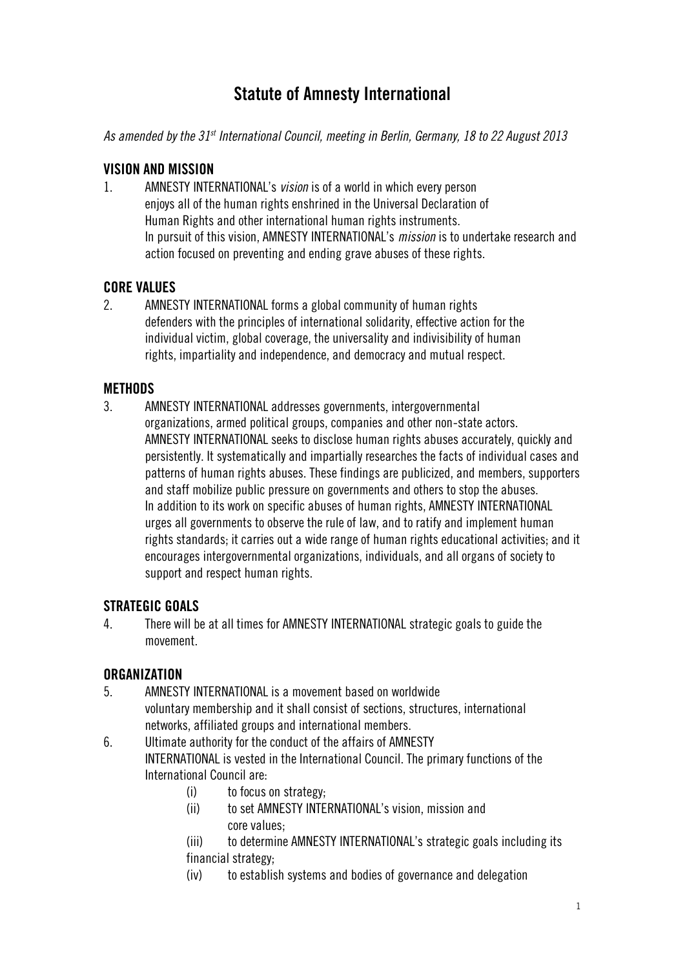# **Statute of Amnesty International**

*As amended by the 31st International Council, meeting in Berlin, Germany, 18 to 22 August 2013*

### **VISION AND MISSION**

1. AMNESTY INTERNATIONAL's *vision* is of a world in which every person enjoys all of the human rights enshrined in the Universal Declaration of Human Rights and other international human rights instruments. In pursuit of this vision, AMNESTY INTERNATIONAL's *mission* is to undertake research and action focused on preventing and ending grave abuses of these rights.

### **CORE VALUES**

2. AMNESTY INTERNATIONAL forms a global community of human rights defenders with the principles of international solidarity, effective action for the individual victim, global coverage, the universality and indivisibility of human rights, impartiality and independence, and democracy and mutual respect.

### **METHODS**

3. AMNESTY INTERNATIONAL addresses governments, intergovernmental organizations, armed political groups, companies and other non-state actors. AMNESTY INTERNATIONAL seeks to disclose human rights abuses accurately, quickly and persistently. It systematically and impartially researches the facts of individual cases and patterns of human rights abuses. These findings are publicized, and members, supporters and staff mobilize public pressure on governments and others to stop the abuses. In addition to its work on specific abuses of human rights, AMNESTY INTERNATIONAL urges all governments to observe the rule of law, and to ratify and implement human rights standards; it carries out a wide range of human rights educational activities; and it encourages intergovernmental organizations, individuals, and all organs of society to support and respect human rights.

### **STRATEGIC GOALS**

4. There will be at all times for AMNESTY INTERNATIONAL strategic goals to guide the movement.

### **ORGANIZATION**

5. AMNESTY INTERNATIONAL is a movement based on worldwide voluntary membership and it shall consist of sections, structures, international networks, affiliated groups and international members.

6. Ultimate authority for the conduct of the affairs of AMNESTY INTERNATIONAL is vested in the International Council. The primary functions of the International Council are:

- (i) to focus on strategy;
- (ii) to set AMNESTY INTERNATIONAL's vision, mission and core values;
- (iii) to determine AMNESTY INTERNATIONAL's strategic goals including its financial strategy;
- (iv) to establish systems and bodies of governance and delegation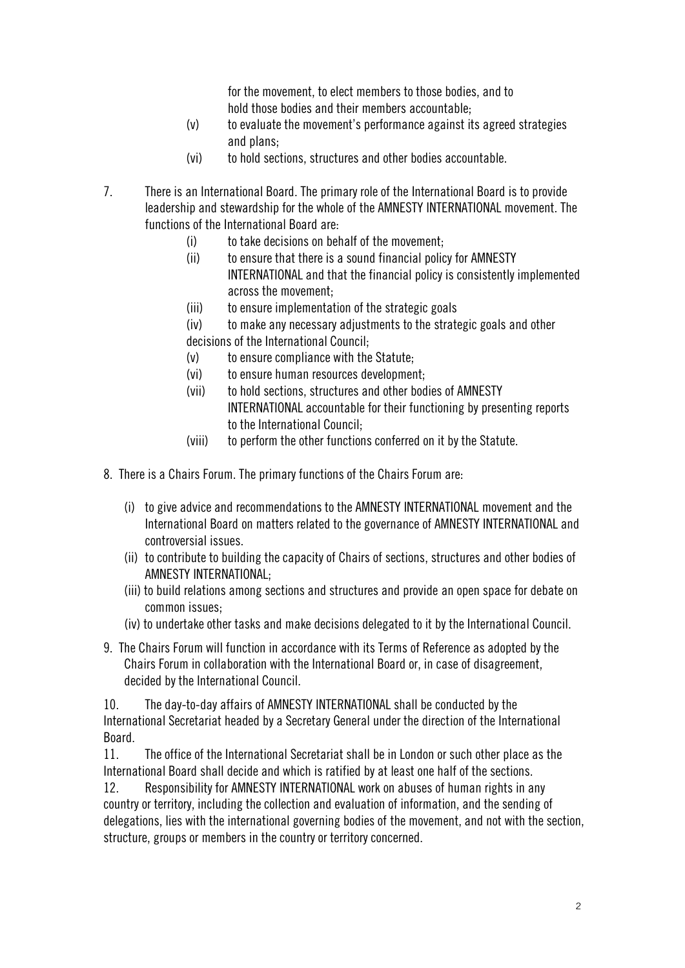for the movement, to elect members to those bodies, and to hold those bodies and their members accountable;

- (v) to evaluate the movement's performance against its agreed strategies and plans;
- (vi) to hold sections, structures and other bodies accountable.
- 7. There is an International Board. The primary role of the International Board is to provide leadership and stewardship for the whole of the AMNESTY INTERNATIONAL movement. The functions of the International Board are:
	- (i) to take decisions on behalf of the movement;
	- (ii) to ensure that there is a sound financial policy for AMNESTY INTERNATIONAL and that the financial policy is consistently implemented across the movement;
	- (iii) to ensure implementation of the strategic goals
	- (iv) to make any necessary adjustments to the strategic goals and other

decisions of the International Council;

- (v) to ensure compliance with the Statute;
- (vi) to ensure human resources development;
- (vii) to hold sections, structures and other bodies of AMNESTY INTERNATIONAL accountable for their functioning by presenting reports to the International Council;
- (viii) to perform the other functions conferred on it by the Statute.
- 8. There is a Chairs Forum. The primary functions of the Chairs Forum are:
	- (i) to give advice and recommendations to the AMNESTY INTERNATIONAL movement and the International Board on matters related to the governance of AMNESTY INTERNATIONAL and controversial issues.
	- (ii) to contribute to building the capacity of Chairs of sections, structures and other bodies of AMNESTY INTERNATIONAL;
	- (iii) to build relations among sections and structures and provide an open space for debate on common issues;
	- (iv) to undertake other tasks and make decisions delegated to it by the International Council.
- 9. The Chairs Forum will function in accordance with its Terms of Reference as adopted by the Chairs Forum in collaboration with the International Board or, in case of disagreement, decided by the International Council.

10. The day-to-day affairs of AMNESTY INTERNATIONAL shall be conducted by the International Secretariat headed by a Secretary General under the direction of the International Board.

11. The office of the International Secretariat shall be in London or such other place as the International Board shall decide and which is ratified by at least one half of the sections.

12. Responsibility for AMNESTY INTERNATIONAL work on abuses of human rights in any country or territory, including the collection and evaluation of information, and the sending of delegations, lies with the international governing bodies of the movement, and not with the section, structure, groups or members in the country or territory concerned.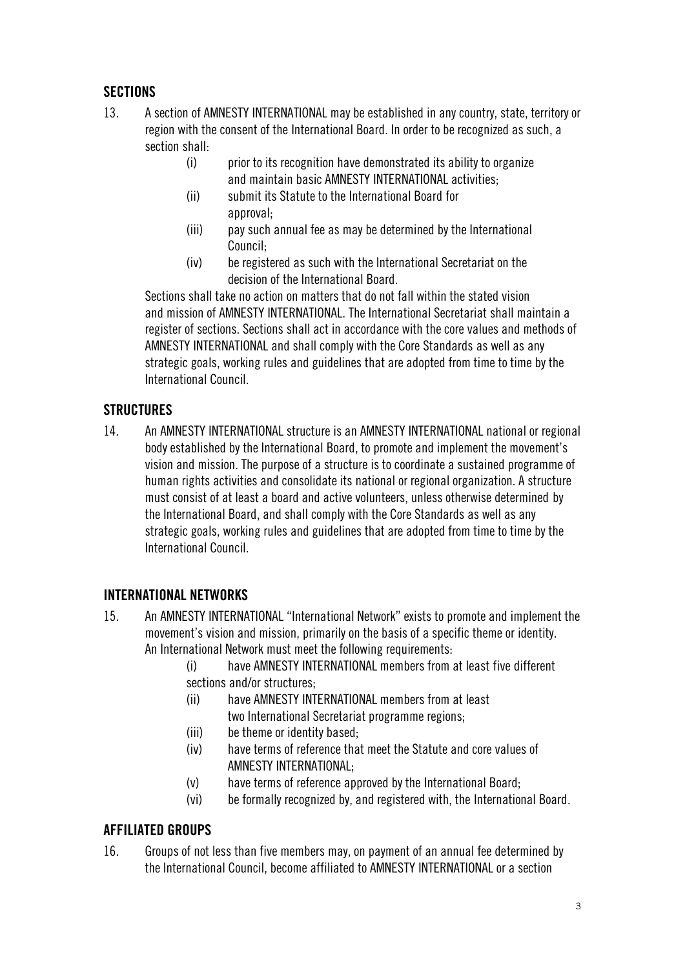# **SECTIONS**

- 13. A section of AMNESTY INTERNATIONAL may be established in any country, state, territory or region with the consent of the International Board. In order to be recognized as such, a section shall:
	- (i) prior to its recognition have demonstrated its ability to organize and maintain basic AMNESTY INTERNATIONAL activities;
	- (ii) submit its Statute to the International Board for approval;
	- (iii) pay such annual fee as may be determined by the International Council;
	- (iv) be registered as such with the International Secretariat on the decision of the International Board.

Sections shall take no action on matters that do not fall within the stated vision and mission of AMNESTY INTERNATIONAL. The International Secretariat shall maintain a register of sections. Sections shall act in accordance with the core values and methods of AMNESTY INTERNATIONAL and shall comply with the Core Standards as well as any strategic goals, working rules and guidelines that are adopted from time to time by the International Council.

### **STRUCTURES**

14. An AMNESTY INTERNATIONAL structure is an AMNESTY INTERNATIONAL national or regional body established by the International Board, to promote and implement the movement's vision and mission. The purpose of a structure is to coordinate a sustained programme of human rights activities and consolidate its national or regional organization. A structure must consist of at least a board and active volunteers, unless otherwise determined by the International Board, and shall comply with the Core Standards as well as any strategic goals, working rules and guidelines that are adopted from time to time by the International Council.

# **INTERNATIONAL NETWORKS**

- 15. An AMNESTY INTERNATIONAL "International Network" exists to promote and implement the movement's vision and mission, primarily on the basis of a specific theme or identity. An International Network must meet the following requirements:
	- (i) have AMNESTY INTERNATIONAL members from at least five different sections and/or structures;
	- (ii) have AMNESTY INTERNATIONAL members from at least two International Secretariat programme regions;
	- (iii) be theme or identity based;
	- (iv) have terms of reference that meet the Statute and core values of AMNESTY INTERNATIONAL;
	- (v) have terms of reference approved by the International Board;
	- (vi) be formally recognized by, and registered with, the International Board.

### **AFFILIATED GROUPS**

16. Groups of not less than five members may, on payment of an annual fee determined by the International Council, become affiliated to AMNESTY INTERNATIONAL or a section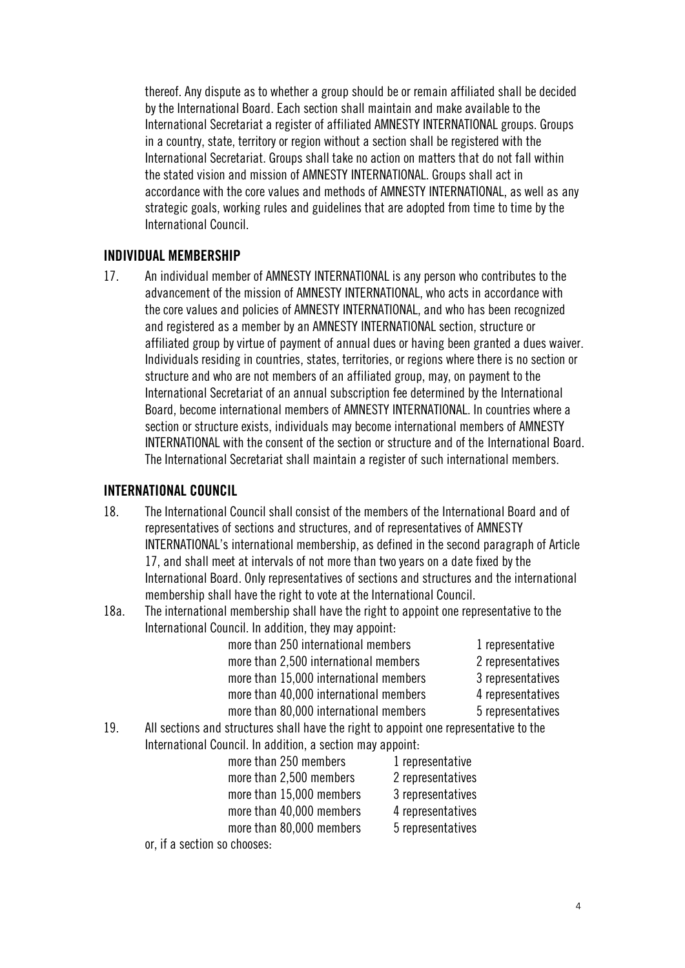thereof. Any dispute as to whether a group should be or remain affiliated shall be decided by the International Board. Each section shall maintain and make available to the International Secretariat a register of affiliated AMNESTY INTERNATIONAL groups. Groups in a country, state, territory or region without a section shall be registered with the International Secretariat. Groups shall take no action on matters that do not fall within the stated vision and mission of AMNESTY INTERNATIONAL. Groups shall act in accordance with the core values and methods of AMNESTY INTERNATIONAL, as well as any strategic goals, working rules and guidelines that are adopted from time to time by the International Council.

#### **INDIVIDUAL MEMBERSHIP**

17. An individual member of AMNESTY INTERNATIONAL is any person who contributes to the advancement of the mission of AMNESTY INTERNATIONAL, who acts in accordance with the core values and policies of AMNESTY INTERNATIONAL, and who has been recognized and registered as a member by an AMNESTY INTERNATIONAL section, structure or affiliated group by virtue of payment of annual dues or having been granted a dues waiver. Individuals residing in countries, states, territories, or regions where there is no section or structure and who are not members of an affiliated group, may, on payment to the International Secretariat of an annual subscription fee determined by the International Board, become international members of AMNESTY INTERNATIONAL. In countries where a section or structure exists, individuals may become international members of AMNESTY INTERNATIONAL with the consent of the section or structure and of the International Board. The International Secretariat shall maintain a register of such international members.

#### **INTERNATIONAL COUNCIL**

- 18. The International Council shall consist of the members of the International Board and of representatives of sections and structures, and of representatives of AMNESTY INTERNATIONAL's international membership, as defined in the second paragraph of Article 17, and shall meet at intervals of not more than two years on a date fixed by the International Board. Only representatives of sections and structures and the international membership shall have the right to vote at the International Council.
- 18a. The international membership shall have the right to appoint one representative to the International Council. In addition, they may appoint:

| more than 250 international members    | 1 representative  |
|----------------------------------------|-------------------|
| more than 2,500 international members  | 2 representatives |
| more than 15,000 international members | 3 representatives |
| more than 40,000 international members | 4 representatives |
| more than 80,000 international members | 5 representatives |
|                                        |                   |

19. All sections and structures shall have the right to appoint one representative to the International Council. In addition, a section may appoint:

| more than 250 members    | 1 representative  |
|--------------------------|-------------------|
| more than 2,500 members  | 2 representatives |
| more than 15,000 members | 3 representatives |
| more than 40,000 members | 4 representatives |
| more than 80,000 members | 5 representatives |
|                          |                   |

or, if a section so chooses: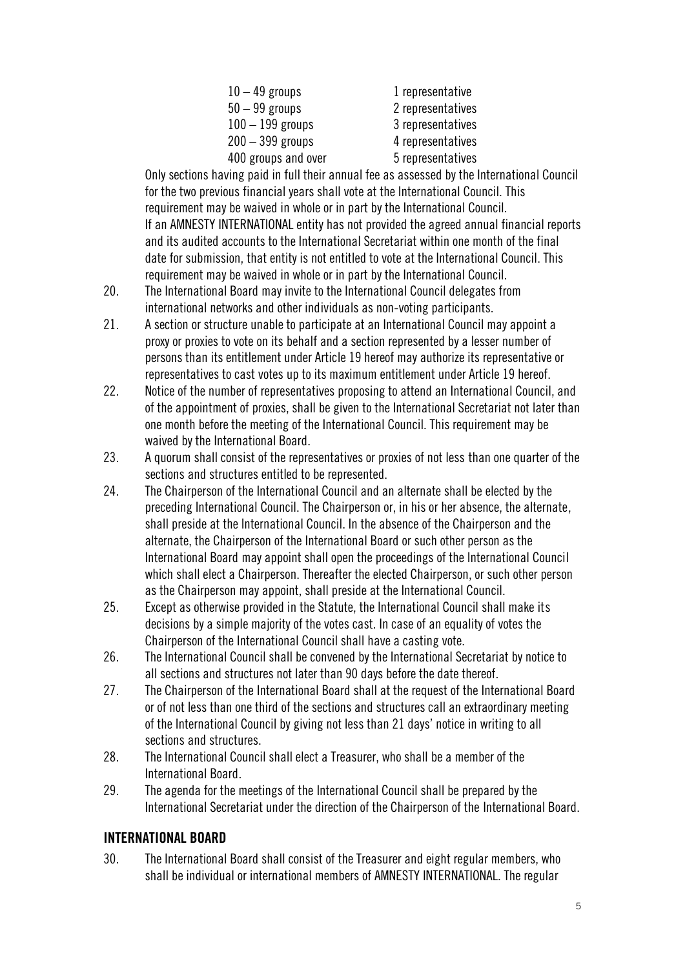| $10-49$ groups      |  |
|---------------------|--|
| $50 - 99$ groups    |  |
| $100 - 199$ groups  |  |
| $200 - 399$ groups  |  |
| 400 groups and over |  |
|                     |  |

1 representative 2 representatives 3 representatives 4 representatives 5 representatives

Only sections having paid in full their annual fee as assessed by the International Council for the two previous financial years shall vote at the International Council. This requirement may be waived in whole or in part by the International Council. If an AMNESTY INTERNATIONAL entity has not provided the agreed annual financial reports and its audited accounts to the International Secretariat within one month of the final date for submission, that entity is not entitled to vote at the International Council. This requirement may be waived in whole or in part by the International Council.

- 20. The International Board may invite to the International Council delegates from international networks and other individuals as non-voting participants.
- 21. A section or structure unable to participate at an International Council may appoint a proxy or proxies to vote on its behalf and a section represented by a lesser number of persons than its entitlement under Article 19 hereof may authorize its representative or representatives to cast votes up to its maximum entitlement under Article 19 hereof.
- 22. Notice of the number of representatives proposing to attend an International Council, and of the appointment of proxies, shall be given to the International Secretariat not later than one month before the meeting of the International Council. This requirement may be waived by the International Board.
- 23. A quorum shall consist of the representatives or proxies of not less than one quarter of the sections and structures entitled to be represented.
- 24. The Chairperson of the International Council and an alternate shall be elected by the preceding International Council. The Chairperson or, in his or her absence, the alternate, shall preside at the International Council. In the absence of the Chairperson and the alternate, the Chairperson of the International Board or such other person as the International Board may appoint shall open the proceedings of the International Council which shall elect a Chairperson. Thereafter the elected Chairperson, or such other person as the Chairperson may appoint, shall preside at the International Council.
- 25. Except as otherwise provided in the Statute, the International Council shall make its decisions by a simple majority of the votes cast. In case of an equality of votes the Chairperson of the International Council shall have a casting vote.
- 26. The International Council shall be convened by the International Secretariat by notice to all sections and structures not later than 90 days before the date thereof.
- 27. The Chairperson of the International Board shall at the request of the International Board or of not less than one third of the sections and structures call an extraordinary meeting of the International Council by giving not less than 21 days' notice in writing to all sections and structures.
- 28. The International Council shall elect a Treasurer, who shall be a member of the International Board.
- 29. The agenda for the meetings of the International Council shall be prepared by the International Secretariat under the direction of the Chairperson of the International Board.

# **INTERNATIONAL BOARD**

30. The International Board shall consist of the Treasurer and eight regular members, who shall be individual or international members of AMNESTY INTERNATIONAL. The regular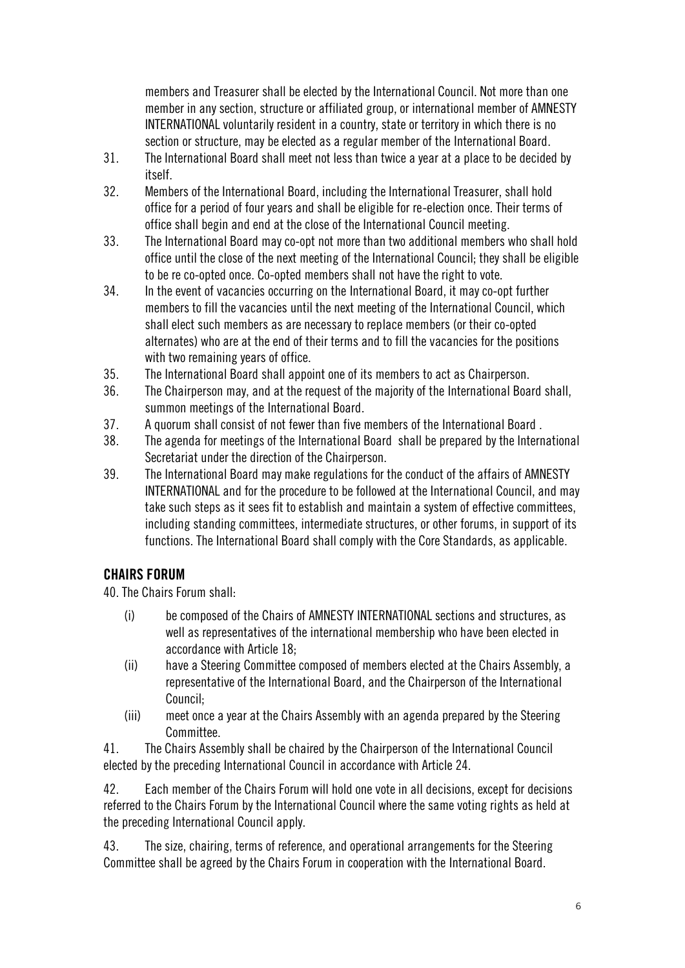members and Treasurer shall be elected by the International Council. Not more than one member in any section, structure or affiliated group, or international member of AMNESTY INTERNATIONAL voluntarily resident in a country, state or territory in which there is no section or structure, may be elected as a regular member of the International Board.

- 31. The International Board shall meet not less than twice a year at a place to be decided by itself.
- 32. Members of the International Board, including the International Treasurer, shall hold office for a period of four years and shall be eligible for re-election once. Their terms of office shall begin and end at the close of the International Council meeting.
- 33. The International Board may co-opt not more than two additional members who shall hold office until the close of the next meeting of the International Council; they shall be eligible to be re co-opted once. Co-opted members shall not have the right to vote.
- 34. In the event of vacancies occurring on the International Board, it may co-opt further members to fill the vacancies until the next meeting of the International Council, which shall elect such members as are necessary to replace members (or their co-opted alternates) who are at the end of their terms and to fill the vacancies for the positions with two remaining years of office.
- 35. The International Board shall appoint one of its members to act as Chairperson.
- 36. The Chairperson may, and at the request of the majority of the International Board shall, summon meetings of the International Board.
- 37. A quorum shall consist of not fewer than five members of the International Board .
- 38. The agenda for meetings of the International Board shall be prepared by the International Secretariat under the direction of the Chairperson.
- 39. The International Board may make regulations for the conduct of the affairs of AMNESTY INTERNATIONAL and for the procedure to be followed at the International Council, and may take such steps as it sees fit to establish and maintain a system of effective committees, including standing committees, intermediate structures, or other forums, in support of its functions. The International Board shall comply with the Core Standards, as applicable.

# **CHAIRS FORUM**

40. The Chairs Forum shall:

- (i) be composed of the Chairs of AMNESTY INTERNATIONAL sections and structures, as well as representatives of the international membership who have been elected in accordance with Article 18;
- (ii) have a Steering Committee composed of members elected at the Chairs Assembly, a representative of the International Board, and the Chairperson of the International Council;
- (iii) meet once a year at the Chairs Assembly with an agenda prepared by the Steering Committee.

41. The Chairs Assembly shall be chaired by the Chairperson of the International Council elected by the preceding International Council in accordance with Article 24.

42. Each member of the Chairs Forum will hold one vote in all decisions, except for decisions referred to the Chairs Forum by the International Council where the same voting rights as held at the preceding International Council apply.

43. The size, chairing, terms of reference, and operational arrangements for the Steering Committee shall be agreed by the Chairs Forum in cooperation with the International Board.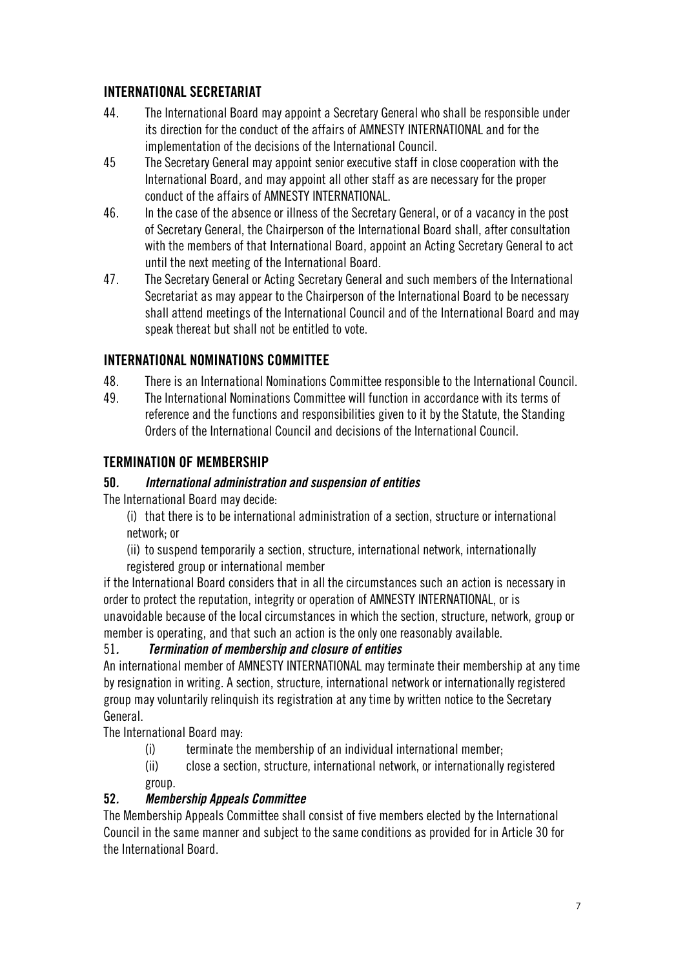### **INTERNATIONAL SECRETARIAT**

- 44. The International Board may appoint a Secretary General who shall be responsible under its direction for the conduct of the affairs of AMNESTY INTERNATIONAL and for the implementation of the decisions of the International Council.
- 45 The Secretary General may appoint senior executive staff in close cooperation with the International Board, and may appoint all other staff as are necessary for the proper conduct of the affairs of AMNESTY INTERNATIONAL.
- 46. In the case of the absence or illness of the Secretary General, or of a vacancy in the post of Secretary General, the Chairperson of the International Board shall, after consultation with the members of that International Board, appoint an Acting Secretary General to act until the next meeting of the International Board.
- 47. The Secretary General or Acting Secretary General and such members of the International Secretariat as may appear to the Chairperson of the International Board to be necessary shall attend meetings of the International Council and of the International Board and may speak thereat but shall not be entitled to vote.

### **INTERNATIONAL NOMINATIONS COMMITTEE**

- 48. There is an International Nominations Committee responsible to the International Council.
- 49. The International Nominations Committee will function in accordance with its terms of reference and the functions and responsibilities given to it by the Statute, the Standing Orders of the International Council and decisions of the International Council.

### **TERMINATION OF MEMBERSHIP**

#### **50***. International administration and suspension of entities*

The International Board may decide:

(i) that there is to be international administration of a section, structure or international network; or

(ii) to suspend temporarily a section, structure, international network, internationally registered group or international member

if the International Board considers that in all the circumstances such an action is necessary in order to protect the reputation, integrity or operation of AMNESTY INTERNATIONAL, or is unavoidable because of the local circumstances in which the section, structure, network, group or member is operating, and that such an action is the only one reasonably available.

#### 51*. Termination of membership and closure of entities*

An international member of AMNESTY INTERNATIONAL may terminate their membership at any time by resignation in writing. A section, structure, international network or internationally registered group may voluntarily relinquish its registration at any time by written notice to the Secretary General.

The International Board may:

(i) terminate the membership of an individual international member;

(ii) close a section, structure, international network, or internationally registered group.

#### **52***. Membership Appeals Committee*

The Membership Appeals Committee shall consist of five members elected by the International Council in the same manner and subject to the same conditions as provided for in Article 30 for the International Board.